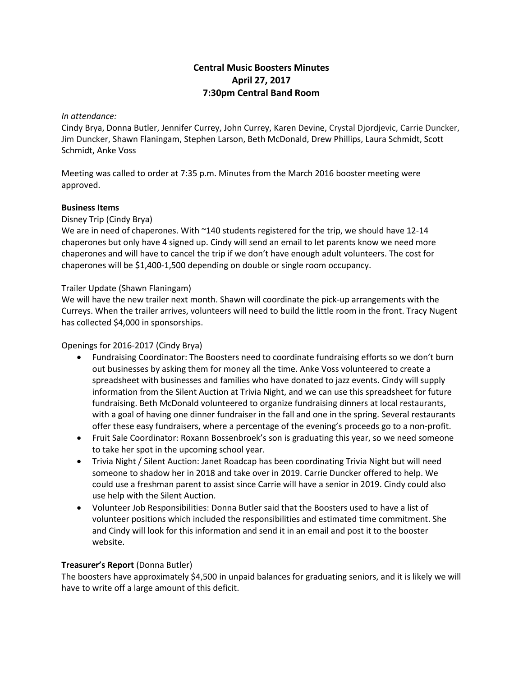# **Central Music Boosters Minutes April 27, 2017 7:30pm Central Band Room**

#### *In attendance:*

Cindy Brya, Donna Butler, Jennifer Currey, John Currey, Karen Devine, Crystal Djordjevic, Carrie Duncker, Jim Duncker, Shawn Flaningam, Stephen Larson, Beth McDonald, Drew Phillips, Laura Schmidt, Scott Schmidt, Anke Voss

Meeting was called to order at 7:35 p.m. Minutes from the March 2016 booster meeting were approved.

#### **Business Items**

Disney Trip (Cindy Brya)

We are in need of chaperones. With ~140 students registered for the trip, we should have 12-14 chaperones but only have 4 signed up. Cindy will send an email to let parents know we need more chaperones and will have to cancel the trip if we don't have enough adult volunteers. The cost for chaperones will be \$1,400-1,500 depending on double or single room occupancy.

#### Trailer Update (Shawn Flaningam)

We will have the new trailer next month. Shawn will coordinate the pick-up arrangements with the Curreys. When the trailer arrives, volunteers will need to build the little room in the front. Tracy Nugent has collected \$4,000 in sponsorships.

#### Openings for 2016-2017 (Cindy Brya)

- Fundraising Coordinator: The Boosters need to coordinate fundraising efforts so we don't burn out businesses by asking them for money all the time. Anke Voss volunteered to create a spreadsheet with businesses and families who have donated to jazz events. Cindy will supply information from the Silent Auction at Trivia Night, and we can use this spreadsheet for future fundraising. Beth McDonald volunteered to organize fundraising dinners at local restaurants, with a goal of having one dinner fundraiser in the fall and one in the spring. Several restaurants offer these easy fundraisers, where a percentage of the evening's proceeds go to a non-profit.
- Fruit Sale Coordinator: Roxann Bossenbroek's son is graduating this year, so we need someone to take her spot in the upcoming school year.
- Trivia Night / Silent Auction: Janet Roadcap has been coordinating Trivia Night but will need someone to shadow her in 2018 and take over in 2019. Carrie Duncker offered to help. We could use a freshman parent to assist since Carrie will have a senior in 2019. Cindy could also use help with the Silent Auction.
- Volunteer Job Responsibilities: Donna Butler said that the Boosters used to have a list of volunteer positions which included the responsibilities and estimated time commitment. She and Cindy will look for this information and send it in an email and post it to the booster website.

#### **Treasurer's Report** (Donna Butler)

The boosters have approximately \$4,500 in unpaid balances for graduating seniors, and it is likely we will have to write off a large amount of this deficit.